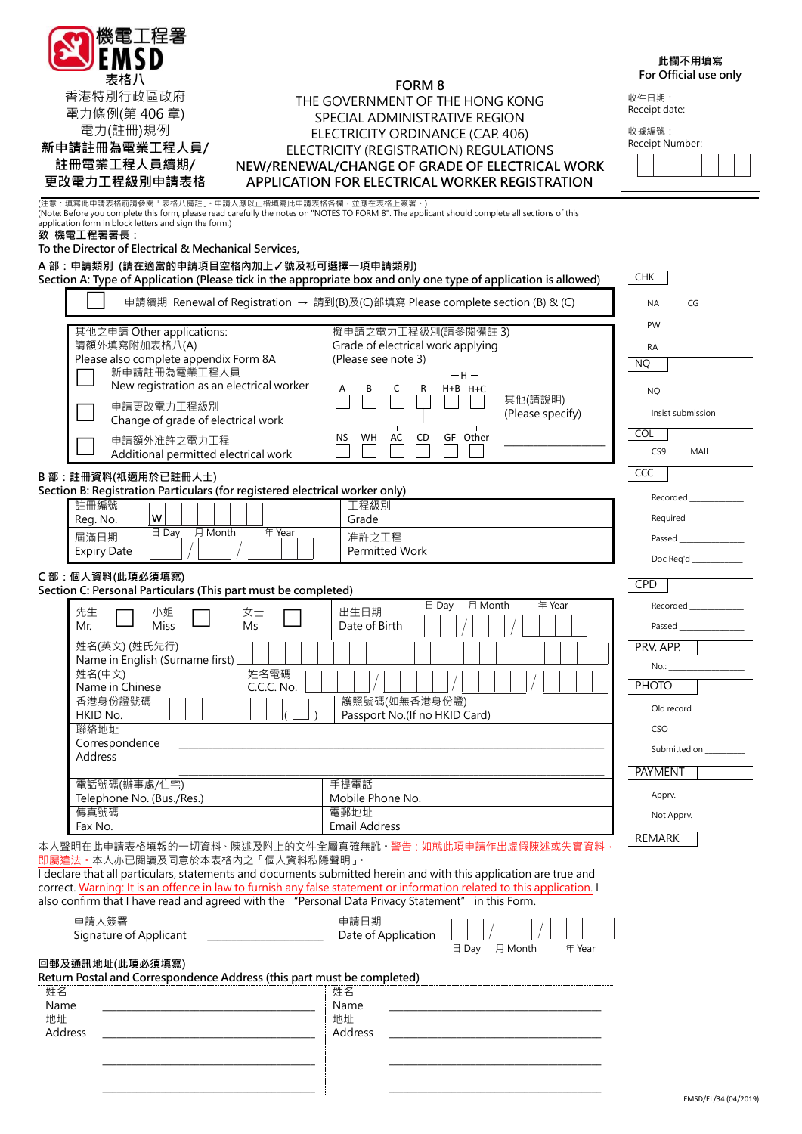| 機電工程署<br>EMSD                                                                                                                                                                                                                                                                                                                       |                                                                                                                                                                                 | 此欄不用填寫                                                                  |  |  |
|-------------------------------------------------------------------------------------------------------------------------------------------------------------------------------------------------------------------------------------------------------------------------------------------------------------------------------------|---------------------------------------------------------------------------------------------------------------------------------------------------------------------------------|-------------------------------------------------------------------------|--|--|
| 表格八                                                                                                                                                                                                                                                                                                                                 |                                                                                                                                                                                 |                                                                         |  |  |
| 香港特別行政區政府                                                                                                                                                                                                                                                                                                                           | <b>FORM 8</b><br>THE GOVERNMENT OF THE HONG KONG                                                                                                                                |                                                                         |  |  |
| 電力條例(第406章)                                                                                                                                                                                                                                                                                                                         | SPECIAL ADMINISTRATIVE REGION                                                                                                                                                   |                                                                         |  |  |
| 新申請註冊為電業工程人員/                                                                                                                                                                                                                                                                                                                       | 電力(註冊)規例<br>ELECTRICITY ORDINANCE (CAP. 406)                                                                                                                                    |                                                                         |  |  |
| 註冊電業工程人員續期/                                                                                                                                                                                                                                                                                                                         | ELECTRICITY (REGISTRATION) REGULATIONS<br>NEW/RENEWAL/CHANGE OF GRADE OF ELECTRICAL WORK                                                                                        |                                                                         |  |  |
| 更改電力工程級別申請表格                                                                                                                                                                                                                                                                                                                        | APPLICATION FOR ELECTRICAL WORKER REGISTRATION                                                                                                                                  |                                                                         |  |  |
| (注意:填寫此申請表格前請參閱「表格八備註」。申請人應以正楷填寫此申請表格各欄·並應在表格上簽署。)<br>(Note: Before you complete this form, please read carefully the notes on "NOTES TO FORM 8". The applicant should complete all sections of this<br>application form in block letters and sign the form.)<br>致 機電工程署署長:<br>To the Director of Electrical & Mechanical Services, |                                                                                                                                                                                 |                                                                         |  |  |
| A 部:申請類別 (請在適當的申請項目空格內加上√號及祇可選擇一項申請類別)<br>Section A: Type of Application (Please tick in the appropriate box and only one type of application is allowed)                                                                                                                                                                           | <b>CHK</b>                                                                                                                                                                      |                                                                         |  |  |
|                                                                                                                                                                                                                                                                                                                                     | 申請續期 Renewal of Registration → 請到(B)及(C)部填寫 Please complete section (B) & (C)                                                                                                   | <b>NA</b><br>CG                                                         |  |  |
| 其他之申請 Other applications:                                                                                                                                                                                                                                                                                                           | 擬申請之電力工程級別(請參閱備註3)                                                                                                                                                              | PW                                                                      |  |  |
| 請額外填寫附加表格八(A)                                                                                                                                                                                                                                                                                                                       | Grade of electrical work applying                                                                                                                                               | <b>RA</b>                                                               |  |  |
| Please also complete appendix Form 8A<br>新申請註冊為電業工程人員                                                                                                                                                                                                                                                                               | (Please see note 3)<br>$\Gamma$ H $\Box$                                                                                                                                        | <b>NQ</b>                                                               |  |  |
| New registration as an electrical worker                                                                                                                                                                                                                                                                                            | H+B H+C<br>R<br>其他(請說明)                                                                                                                                                         | <b>NQ</b>                                                               |  |  |
| 申請更改電力工程級別<br>Change of grade of electrical work                                                                                                                                                                                                                                                                                    | (Please specify)                                                                                                                                                                | Insist submission                                                       |  |  |
| 申請額外准許之電力工程                                                                                                                                                                                                                                                                                                                         | WH<br>GF Other<br>ΝS<br>AC<br>CD                                                                                                                                                | <b>COL</b>                                                              |  |  |
| Additional permitted electrical work                                                                                                                                                                                                                                                                                                |                                                                                                                                                                                 | CS <sub>9</sub><br>MAIL                                                 |  |  |
| B部: 註冊資料(祇適用於已註冊人士)<br>Section B: Registration Particulars (for registered electrical worker only)                                                                                                                                                                                                                                  | CCC                                                                                                                                                                             |                                                                         |  |  |
| 註冊編號                                                                                                                                                                                                                                                                                                                                | 工程級別                                                                                                                                                                            | Recorded _____________                                                  |  |  |
| W<br>Reg. No.<br>月 Month<br>$\boxminus$ Day<br>年 Year<br>屆滿日期                                                                                                                                                                                                                                                                       | Grade<br>准許之工程                                                                                                                                                                  |                                                                         |  |  |
| <b>Expiry Date</b>                                                                                                                                                                                                                                                                                                                  | Permitted Work                                                                                                                                                                  | Passed ________________<br>Doc Req'd $\_\_\_\_\_\_\_\_\_\_\_\_\_\_\_\_$ |  |  |
| C部:個人資料(此項必須填寫)<br>Section C: Personal Particulars (This part must be completed)                                                                                                                                                                                                                                                    | <b>CPD</b>                                                                                                                                                                      |                                                                         |  |  |
| 先生<br>小姐<br>女士                                                                                                                                                                                                                                                                                                                      | $\boxminus$ Day<br>月 Month<br>年 Year<br>出生日期                                                                                                                                    | Recorded ______                                                         |  |  |
| Miss<br>Ms.<br>Mr.                                                                                                                                                                                                                                                                                                                  | Date of Birth                                                                                                                                                                   | Passed _                                                                |  |  |
|                                                                                                                                                                                                                                                                                                                                     |                                                                                                                                                                                 |                                                                         |  |  |
| 姓名(英文) (姓氏先行)                                                                                                                                                                                                                                                                                                                       |                                                                                                                                                                                 | PRV. APP.                                                               |  |  |
| Name in English (Surname first)<br>姓名電碼<br>姓名(中文)                                                                                                                                                                                                                                                                                   |                                                                                                                                                                                 | No.: __________________                                                 |  |  |
| Name in Chinese<br>C.C.C. No.<br>香港身份證號碼                                                                                                                                                                                                                                                                                            | 護照號碼(如無香港身份證)                                                                                                                                                                   | <b>PHOTO</b>                                                            |  |  |
| HKID No.                                                                                                                                                                                                                                                                                                                            | Passport No.(If no HKID Card)                                                                                                                                                   | Old record                                                              |  |  |
| 聯絡地址<br>Correspondence                                                                                                                                                                                                                                                                                                              |                                                                                                                                                                                 | CSO                                                                     |  |  |
| <b>Address</b>                                                                                                                                                                                                                                                                                                                      |                                                                                                                                                                                 | Submitted on _________                                                  |  |  |
| 電話號碼(辦事處/住宅)                                                                                                                                                                                                                                                                                                                        | 手提電話                                                                                                                                                                            | <b>PAYMENT</b>                                                          |  |  |
| Telephone No. (Bus./Res.)<br>傳真號碼                                                                                                                                                                                                                                                                                                   | Mobile Phone No.<br>電郵地址                                                                                                                                                        | Apprv.                                                                  |  |  |
| Fax No.                                                                                                                                                                                                                                                                                                                             | <b>Email Address</b>                                                                                                                                                            | Not Apprv.                                                              |  |  |
| 即屬違法。本人亦已閱讀及同意於本表格內之「個人資料私隱聲明」。<br>I declare that all particulars, statements and documents submitted herein and with this application are true and                                                                                                                                                                                 | 本人聲明在此申請表格填報的一切資料、陳述及附上的文件全屬真確無訛。警告:如就此項申請作出虛假陳述或失實資料<br>correct. Warning: It is an offence in law to furnish any false statement or information related to this application. I | <b>REMARK</b>                                                           |  |  |
| also confirm that I have read and agreed with the "Personal Data Privacy Statement" in this Form.                                                                                                                                                                                                                                   |                                                                                                                                                                                 |                                                                         |  |  |
| 申請人簽署<br>Signature of Applicant                                                                                                                                                                                                                                                                                                     | 申請日期<br>Date of Application                                                                                                                                                     |                                                                         |  |  |
| 回郵及通訊地址(此項必須填寫)                                                                                                                                                                                                                                                                                                                     | 日 Day 月 Month<br>年 Year                                                                                                                                                         |                                                                         |  |  |
| Return Postal and Correspondence Address (this part must be completed)                                                                                                                                                                                                                                                              |                                                                                                                                                                                 |                                                                         |  |  |
| 姓名<br>Name                                                                                                                                                                                                                                                                                                                          | 姓名<br>Name                                                                                                                                                                      |                                                                         |  |  |
| 地址<br>Address                                                                                                                                                                                                                                                                                                                       | 地址<br>Address                                                                                                                                                                   |                                                                         |  |  |
|                                                                                                                                                                                                                                                                                                                                     |                                                                                                                                                                                 |                                                                         |  |  |
|                                                                                                                                                                                                                                                                                                                                     |                                                                                                                                                                                 |                                                                         |  |  |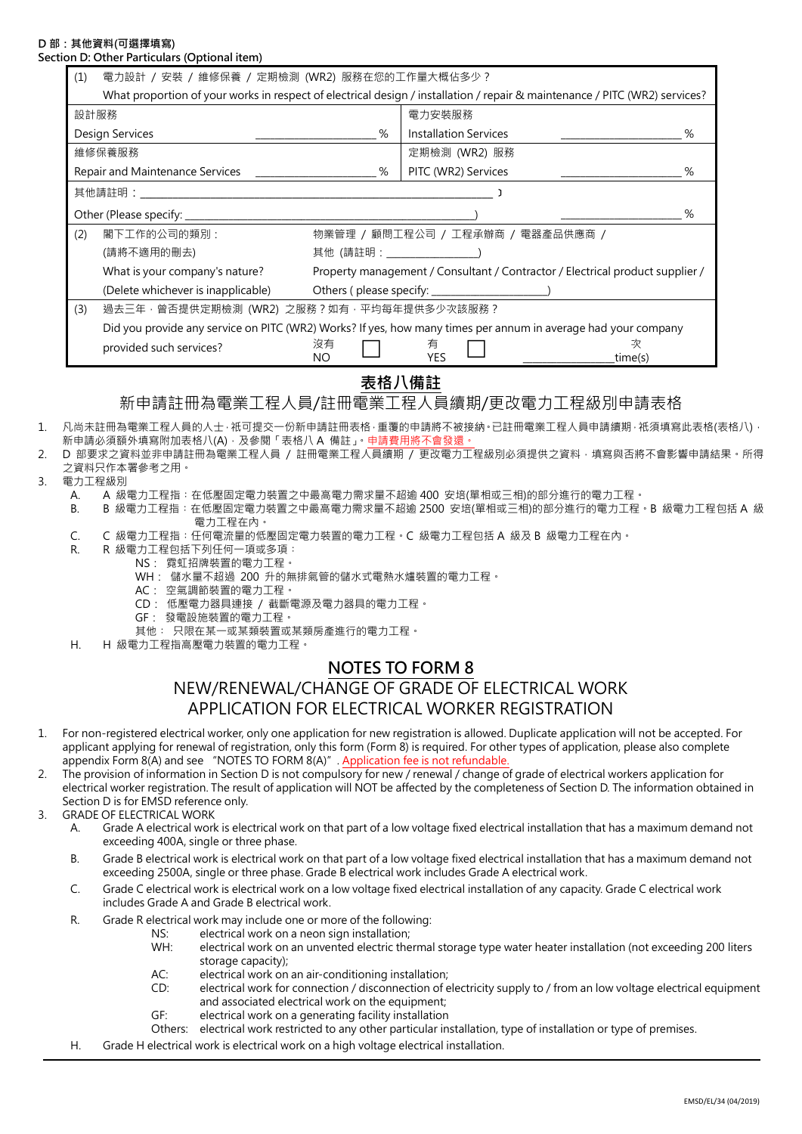#### **D 部:其他資料(可選擇填寫) Section D: Other Particulars (Optional item)**

| on D: Other Particulars (Optional item) |                                                                                                                            |                                                                               |                              |              |  |  |  |
|-----------------------------------------|----------------------------------------------------------------------------------------------------------------------------|-------------------------------------------------------------------------------|------------------------------|--------------|--|--|--|
| (1)                                     | 電力設計 / 安裝 / 維修保養 / 定期檢測 (WR2) 服務在您的工作量大概佔多少 ?                                                                              |                                                                               |                              |              |  |  |  |
|                                         | What proportion of your works in respect of electrical design / installation / repair & maintenance / PITC (WR2) services? |                                                                               |                              |              |  |  |  |
| 設計服務                                    |                                                                                                                            |                                                                               | 電力安裝服務                       |              |  |  |  |
| Design Services                         |                                                                                                                            | %                                                                             | <b>Installation Services</b> | %            |  |  |  |
| 維修保養服務                                  |                                                                                                                            |                                                                               | 定期檢測 (WR2) 服務                |              |  |  |  |
| Repair and Maintenance Services         |                                                                                                                            | %                                                                             | PITC (WR2) Services          | %            |  |  |  |
|                                         |                                                                                                                            |                                                                               |                              |              |  |  |  |
| Other (Please specify: _________        |                                                                                                                            |                                                                               |                              | %            |  |  |  |
| (2)                                     | 閣下工作的公司的類別:                                                                                                                | 物業管理 / 顧問工程公司 / 工程承辦商 / 電器產品供應商 /                                             |                              |              |  |  |  |
|                                         | (請將不適用的刪去)                                                                                                                 |                                                                               |                              |              |  |  |  |
|                                         | What is your company's nature?                                                                                             | Property management / Consultant / Contractor / Electrical product supplier / |                              |              |  |  |  |
|                                         | (Delete whichever is inapplicable)                                                                                         |                                                                               |                              |              |  |  |  |
| (3)                                     |                                                                                                                            | 過去三年, 曾否提供定期檢測 (WR2) 之服務?如有, 平均每年提供多少次該服務?                                    |                              |              |  |  |  |
|                                         | Did you provide any service on PITC (WR2) Works? If yes, how many times per annum in average had your company              |                                                                               |                              |              |  |  |  |
|                                         | provided such services?                                                                                                    | 沒有<br>NO.                                                                     | 有<br>YES                     | 次<br>time(s) |  |  |  |
|                                         |                                                                                                                            |                                                                               |                              |              |  |  |  |

### **表格八備註**

### 新申請註冊為電業工程人員/註冊電業工程人員續期/更改電力工程級別申請表格

- 1. 凡尚未註冊為電業工程人員的人士,祇可提交一份新申請註冊表格,重覆的申請將不被接納。已註冊電業工程人員申請續期,祇須填寫此表格(表格八), 新申請必須額外填寫附加表格八(A), 及參閱「表格八 A 備註」。申請費用將不會發還。
- 2. D 部要求之資料並非申請註冊為電業工程人員 / 註冊電業工程人員續期 / 更改電力工程級別必須提供之資料,填寫與否將不會影響申請結果。所得 之資料只作本署參考之用。
- 3. 電力工程級別
	- A. A 級電力工程指︰在低壓固定電力裝置之中最高電力需求量不超逾 400 安培(單相或三相)的部分進行的電力工程。
	- B. B 級電力工程指︰在低壓固定電力裝置之中最高電力需求量不超逾 2500 安培(單相或三相)的部分進行的電力工程。B 級電力工程包括 A 級 電力工程在內。
	- C. C 級電力工程指︰任何電流量的低壓固定電力裝置的電力工程。C 級電力工程包括 A 級及 B 級電力工程在內。
	- R. R 級電力工程包括下列任何一項或多項:
		- NS: 霓虹招牌裝置的電力工程。 WH: 儲水量不超過 200 升的無排氣管的儲水式電熱水爐裝置的電力工程。
		- AC: 空氣調節裝置的電力工程。
		- CD: 低壓電力器具連接 / 截斷電源及電力器具的電力工程。
		- GF: 發電設施裝置的電力工程。
		- 其他: 只限在某一或某類裝置或某類房產進行的電力工程。
	- H. H 級電力工程指高壓電力裝置的電力工程。

### **NOTES TO FORM 8**

# NEW/RENEWAL/CHANGE OF GRADE OF ELECTRICAL WORK APPLICATION FOR ELECTRICAL WORKER REGISTRATION

- 1. For non-registered electrical worker, only one application for new registration is allowed. Duplicate application will not be accepted. For applicant applying for renewal of registration, only this form (Form 8) is required. For other types of application, please also complete appendix Form 8(A) and see "NOTES TO FORM 8(A)". Application fee is not refundable.
- 2. The provision of information in Section D is not compulsory for new / renewal / change of grade of electrical workers application for electrical worker registration. The result of application will NOT be affected by the completeness of Section D. The information obtained in Section D is for EMSD reference only.
- 3. GRADE OF ELECTRICAL WORK
	- A. Grade A electrical work is electrical work on that part of a low voltage fixed electrical installation that has a maximum demand not exceeding 400A, single or three phase.
	- B. Grade B electrical work is electrical work on that part of a low voltage fixed electrical installation that has a maximum demand not exceeding 2500A, single or three phase. Grade B electrical work includes Grade A electrical work.
	- C. Grade C electrical work is electrical work on a low voltage fixed electrical installation of any capacity. Grade C electrical work includes Grade A and Grade B electrical work.
	- R. Grade R electrical work may include one or more of the following:
		- NS: electrical work on a neon sign installation;
			- WH: electrical work on an unvented electric thermal storage type water heater installation (not exceeding 200 liters storage capacity);
			- AC: electrical work on an air-conditioning installation;
		- CD: electrical work for connection / disconnection of electricity supply to / from an low voltage electrical equipment and associated electrical work on the equipment;
		- GF: electrical work on a generating facility installation
		- Others: electrical work restricted to any other particular installation, type of installation or type of premises.
	- H. Grade H electrical work is electrical work on a high voltage electrical installation.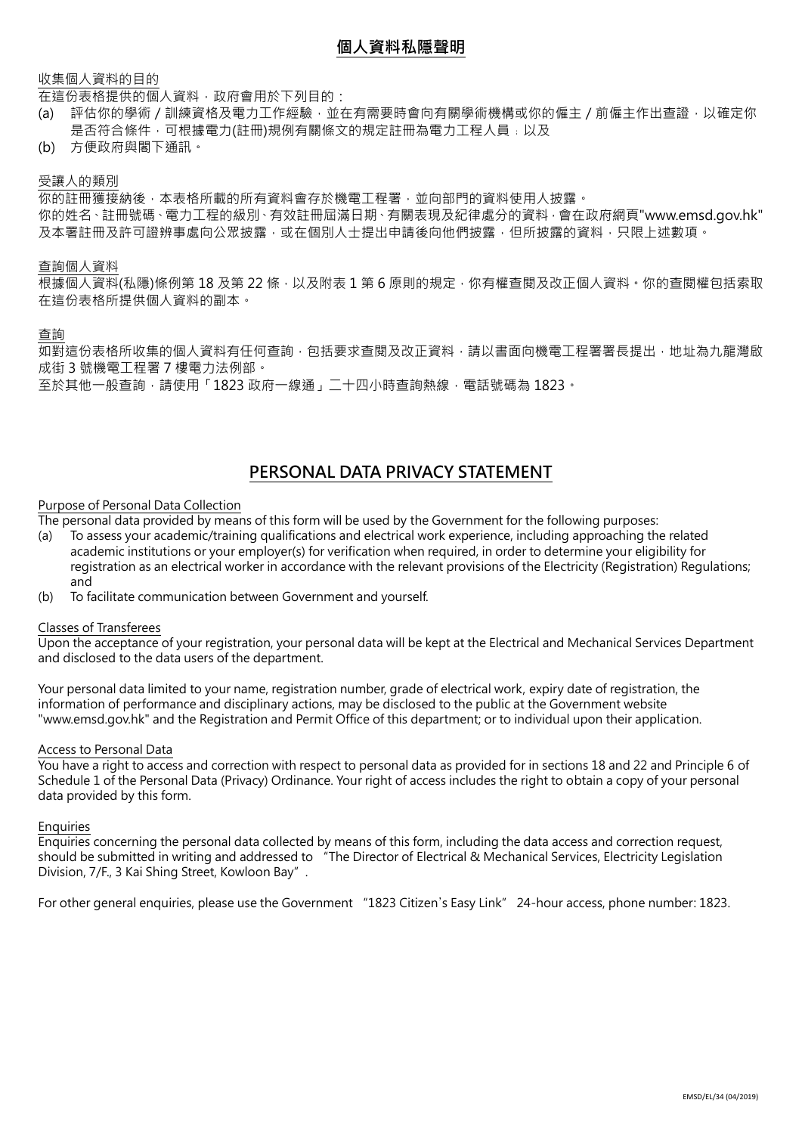### **個人資料私隱聲明**

### 收集個人資料的目的

在這份表格提供的個人資料,政府會用於下列目的:

(a) 評估你的學術/訓練資格及電力工作經驗,並在有需要時會向有關學術機構或你的僱主/前僱主作出查證,以確定你 是否符合條件,可根據電力(註冊)規例有關條文的規定註冊為電力工程人員;以及

(b) 方便政府與閣下通訊。

#### 受讓人的類別

你的註冊獲接納後,本表格所載的所有資料會存於機電工程署,並向部門的資料使用人披露。 你的姓名、註冊號碼、電力工程的級別、有效註冊屆滿日期、有關表現及紀律處分的資料,會在政府網頁"www.emsd.gov.hk" 及本署註冊及許可證辨事處向公眾披露,或在個別人士提出申請後向他們披露,但所披露的資料,只限上述數項。

### 查詢個人資料

根據個人資料(私隱)條例第 18 及第 22 條 · 以及附表 1 第 6 原則的規定 · 你有權查閱及改正個人資料 · 你的查閱權包括索取 在這份表格所提供個人資料的副本。

#### 查詢

如對這份表格所收集的個人資料有任何查詢,包括要求查閱及改正資料,請以書面向機電工程署署長提出,地址為九龍灣啟 成街 3 號機電工程署 7 樓電力法例部。 至於其他一般查詢,請使用「1823 政府一線通」二十四小時查詢熱線,電話號碼為 1823。

### **PERSONAL DATA PRIVACY STATEMENT**

#### Purpose of Personal Data Collection

The personal data provided by means of this form will be used by the Government for the following purposes:

- (a) To assess your academic/training qualifications and electrical work experience, including approaching the related academic institutions or your employer(s) for verification when required, in order to determine your eligibility for registration as an electrical worker in accordance with the relevant provisions of the Electricity (Registration) Regulations; and
- (b) To facilitate communication between Government and yourself.

#### Classes of Transferees

Upon the acceptance of your registration, your personal data will be kept at the Electrical and Mechanical Services Department and disclosed to the data users of the department.

Your personal data limited to your name, registration number, grade of electrical work, expiry date of registration, the information of performance and disciplinary actions, may be disclosed to the public at the Government website "www.emsd.gov.hk" and the Registration and Permit Office of this department; or to individual upon their application.

#### Access to Personal Data

You have a right to access and correction with respect to personal data as provided for in sections 18 and 22 and Principle 6 of Schedule 1 of the Personal Data (Privacy) Ordinance. Your right of access includes the right to obtain a copy of your personal data provided by this form.

#### Enquiries

Enquiries concerning the personal data collected by means of this form, including the data access and correction request, should be submitted in writing and addressed to "The Director of Electrical & Mechanical Services, Electricity Legislation Division, 7/F., 3 Kai Shing Street, Kowloon Bay".

For other general enquiries, please use the Government "1823 Citizen's Easy Link" 24-hour access, phone number: 1823.